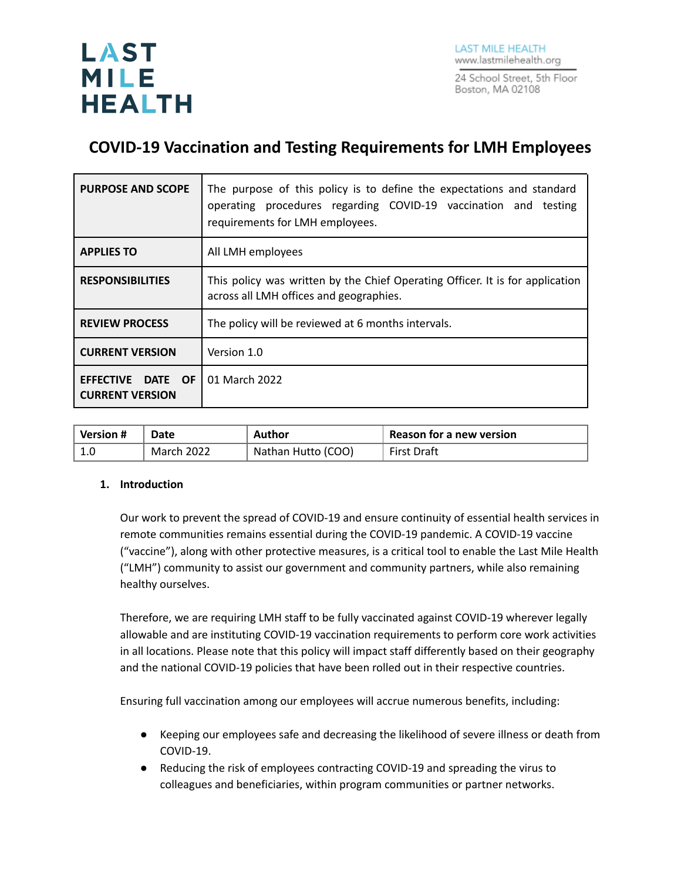

# **COVID-19 Vaccination and Testing Requirements for LMH Employees**

| <b>PURPOSE AND SCOPE</b>                                               | The purpose of this policy is to define the expectations and standard<br>operating procedures regarding COVID-19 vaccination and testing<br>requirements for LMH employees. |  |  |
|------------------------------------------------------------------------|-----------------------------------------------------------------------------------------------------------------------------------------------------------------------------|--|--|
| <b>APPLIES TO</b>                                                      | All LMH employees                                                                                                                                                           |  |  |
| <b>RESPONSIBILITIES</b>                                                | This policy was written by the Chief Operating Officer. It is for application<br>across all LMH offices and geographies.                                                    |  |  |
| <b>REVIEW PROCESS</b>                                                  | The policy will be reviewed at 6 months intervals.                                                                                                                          |  |  |
| <b>CURRENT VERSION</b>                                                 | Version 1.0                                                                                                                                                                 |  |  |
| <b>EFFECTIVE</b><br><b>DATE</b><br><b>OF</b><br><b>CURRENT VERSION</b> | 01 March 2022                                                                                                                                                               |  |  |

| $^{\circ}$ Version # | Date       | Author             | <b>Reason for a new version</b> |
|----------------------|------------|--------------------|---------------------------------|
|                      | March 2022 | Nathan Hutto (COO) | <b>First Draft</b>              |

#### **1. Introduction**

Our work to prevent the spread of COVID-19 and ensure continuity of essential health services in remote communities remains essential during the COVID-19 pandemic. A COVID-19 vaccine ("vaccine"), along with other protective measures, is a critical tool to enable the Last Mile Health ("LMH") community to assist our government and community partners, while also remaining healthy ourselves.

Therefore, we are requiring LMH staff to be fully vaccinated against COVID-19 wherever legally allowable and are instituting COVID-19 vaccination requirements to perform core work activities in all locations. Please note that this policy will impact staff differently based on their geography and the national COVID-19 policies that have been rolled out in their respective countries.

Ensuring full vaccination among our employees will accrue numerous benefits, including:

- Keeping our employees safe and decreasing the likelihood of severe illness or death from COVID-19.
- Reducing the risk of employees contracting COVID-19 and spreading the virus to colleagues and beneficiaries, within program communities or partner networks.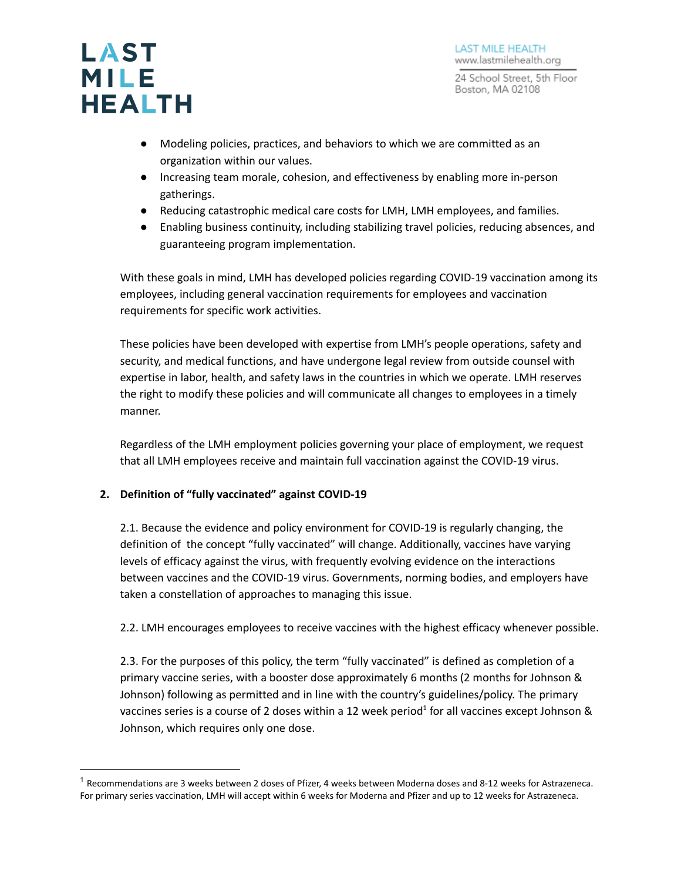

- Modeling policies, practices, and behaviors to which we are committed as an organization within our values.
- Increasing team morale, cohesion, and effectiveness by enabling more in-person gatherings.
- Reducing catastrophic medical care costs for LMH, LMH employees, and families.
- Enabling business continuity, including stabilizing travel policies, reducing absences, and guaranteeing program implementation.

With these goals in mind, LMH has developed policies regarding COVID-19 vaccination among its employees, including general vaccination requirements for employees and vaccination requirements for specific work activities.

These policies have been developed with expertise from LMH's people operations, safety and security, and medical functions, and have undergone legal review from outside counsel with expertise in labor, health, and safety laws in the countries in which we operate. LMH reserves the right to modify these policies and will communicate all changes to employees in a timely manner.

Regardless of the LMH employment policies governing your place of employment, we request that all LMH employees receive and maintain full vaccination against the COVID-19 virus.

#### **2. Definition of "fully vaccinated" against COVID-19**

2.1. Because the evidence and policy environment for COVID-19 is regularly changing, the definition of the concept "fully vaccinated" will change. Additionally, vaccines have varying levels of efficacy against the virus, with frequently evolving evidence on the interactions between vaccines and the COVID-19 virus. Governments, norming bodies, and employers have taken a constellation of approaches to managing this issue.

2.2. LMH encourages employees to receive vaccines with the highest efficacy whenever possible.

2.3. For the purposes of this policy, the term "fully vaccinated" is defined as completion of a primary vaccine series, with a booster dose approximately 6 months (2 months for Johnson & Johnson) following as permitted and in line with the country's guidelines/policy. The primary vaccines series is a course of 2 doses within a 12 week period<sup>1</sup> for all vaccines except Johnson & Johnson, which requires only one dose.

 $1$  Recommendations are 3 weeks between 2 doses of Pfizer, 4 weeks between Moderna doses and 8-12 weeks for Astrazeneca. For primary series vaccination, LMH will accept within 6 weeks for Moderna and Pfizer and up to 12 weeks for Astrazeneca.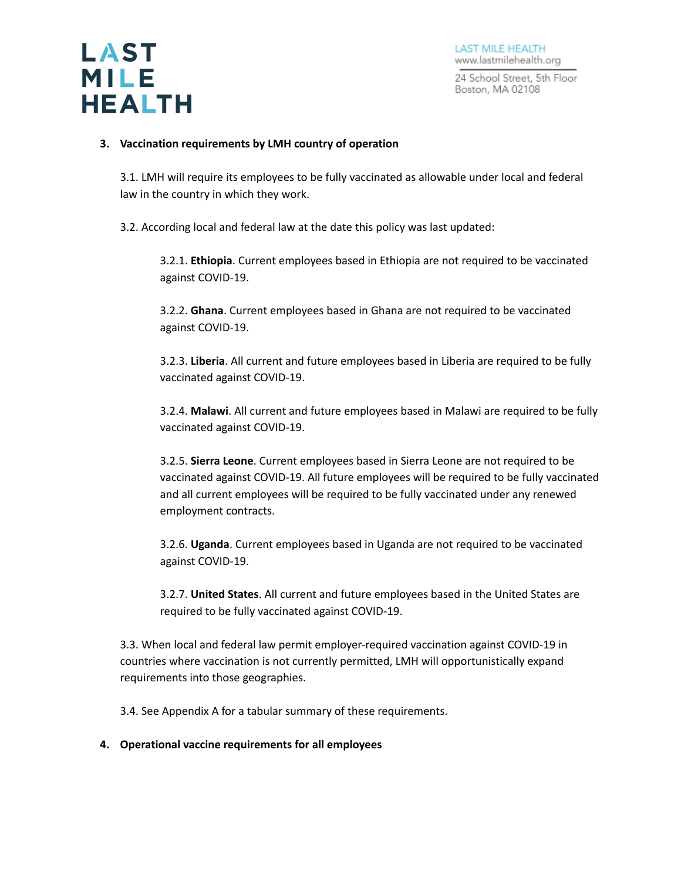

#### **3. Vaccination requirements by LMH country of operation**

3.1. LMH will require its employees to be fully vaccinated as allowable under local and federal law in the country in which they work.

3.2. According local and federal law at the date this policy was last updated:

3.2.1. **Ethiopia**. Current employees based in Ethiopia are not required to be vaccinated against COVID-19.

3.2.2. **Ghana**. Current employees based in Ghana are not required to be vaccinated against COVID-19.

3.2.3. **Liberia**. All current and future employees based in Liberia are required to be fully vaccinated against COVID-19.

3.2.4. **Malawi**. All current and future employees based in Malawi are required to be fully vaccinated against COVID-19.

3.2.5. **Sierra Leone**. Current employees based in Sierra Leone are not required to be vaccinated against COVID-19. All future employees will be required to be fully vaccinated and all current employees will be required to be fully vaccinated under any renewed employment contracts.

3.2.6. **Uganda**. Current employees based in Uganda are not required to be vaccinated against COVID-19.

3.2.7. **United States**. All current and future employees based in the United States are required to be fully vaccinated against COVID-19.

3.3. When local and federal law permit employer-required vaccination against COVID-19 in countries where vaccination is not currently permitted, LMH will opportunistically expand requirements into those geographies.

3.4. See Appendix A for a tabular summary of these requirements.

#### **4. Operational vaccine requirements for all employees**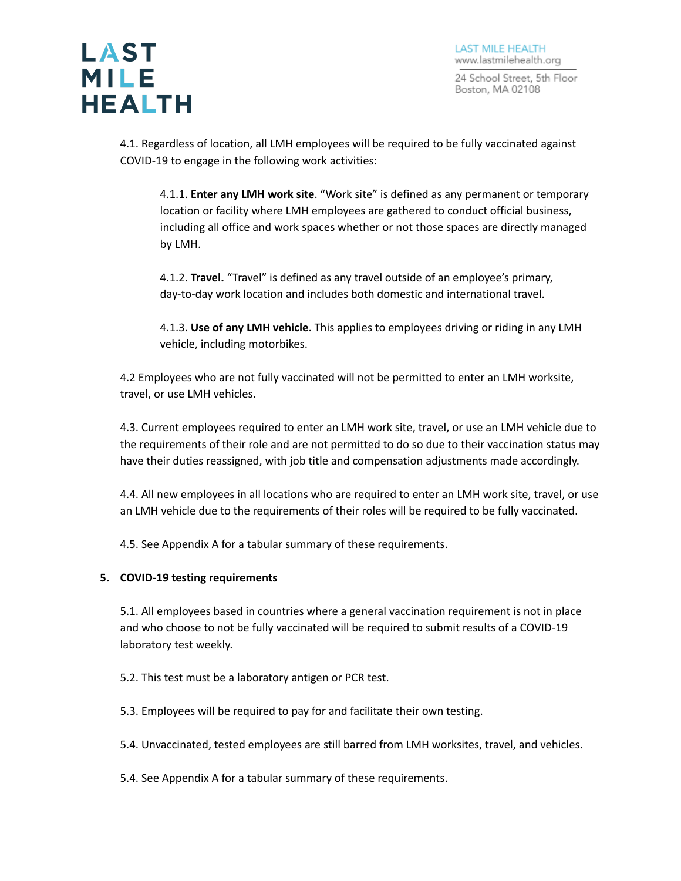4.1. Regardless of location, all LMH employees will be required to be fully vaccinated against COVID-19 to engage in the following work activities:

4.1.1. **Enter any LMH work site**. "Work site" is defined as any permanent or temporary location or facility where LMH employees are gathered to conduct official business, including all office and work spaces whether or not those spaces are directly managed by LMH.

4.1.2. **Travel.** "Travel" is defined as any travel outside of an employee's primary, day-to-day work location and includes both domestic and international travel.

4.1.3. **Use of any LMH vehicle**. This applies to employees driving or riding in any LMH vehicle, including motorbikes.

4.2 Employees who are not fully vaccinated will not be permitted to enter an LMH worksite, travel, or use LMH vehicles.

4.3. Current employees required to enter an LMH work site, travel, or use an LMH vehicle due to the requirements of their role and are not permitted to do so due to their vaccination status may have their duties reassigned, with job title and compensation adjustments made accordingly.

4.4. All new employees in all locations who are required to enter an LMH work site, travel, or use an LMH vehicle due to the requirements of their roles will be required to be fully vaccinated.

4.5. See Appendix A for a tabular summary of these requirements.

#### **5. COVID-19 testing requirements**

5.1. All employees based in countries where a general vaccination requirement is not in place and who choose to not be fully vaccinated will be required to submit results of a COVID-19 laboratory test weekly.

5.2. This test must be a laboratory antigen or PCR test.

5.3. Employees will be required to pay for and facilitate their own testing.

5.4. Unvaccinated, tested employees are still barred from LMH worksites, travel, and vehicles.

5.4. See Appendix A for a tabular summary of these requirements.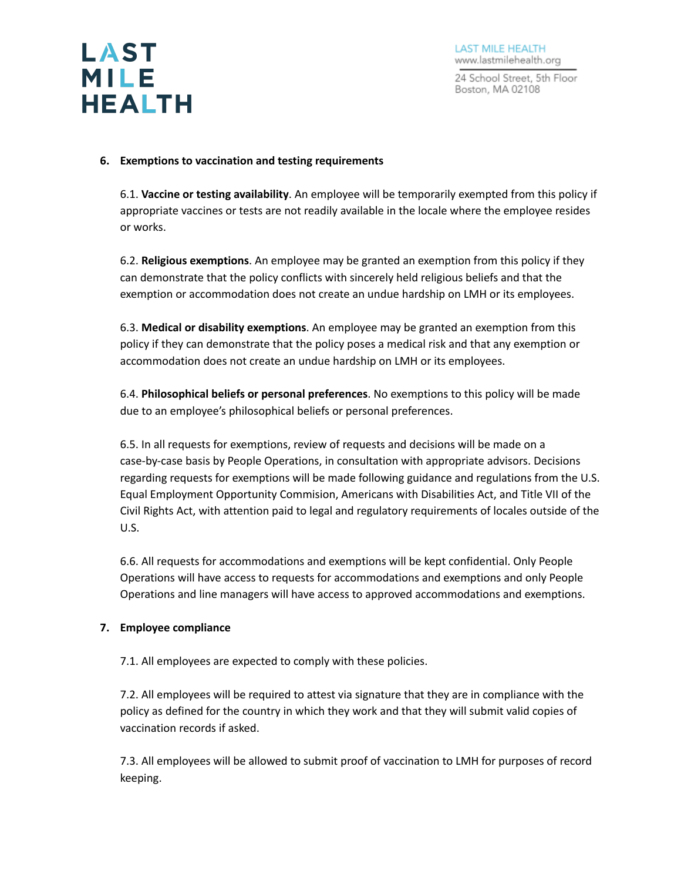

#### **6. Exemptions to vaccination and testing requirements**

6.1. **Vaccine or testing availability**. An employee will be temporarily exempted from this policy if appropriate vaccines or tests are not readily available in the locale where the employee resides or works.

6.2. **Religious exemptions**. An employee may be granted an exemption from this policy if they can demonstrate that the policy conflicts with sincerely held religious beliefs and that the exemption or accommodation does not create an undue hardship on LMH or its employees.

6.3. **Medical or disability exemptions**. An employee may be granted an exemption from this policy if they can demonstrate that the policy poses a medical risk and that any exemption or accommodation does not create an undue hardship on LMH or its employees.

6.4. **Philosophical beliefs or personal preferences**. No exemptions to this policy will be made due to an employee's philosophical beliefs or personal preferences.

6.5. In all requests for exemptions, review of requests and decisions will be made on a case-by-case basis by People Operations, in consultation with appropriate advisors. Decisions regarding requests for exemptions will be made following guidance and regulations from the U.S. Equal Employment Opportunity Commision, Americans with Disabilities Act, and Title VII of the Civil Rights Act, with attention paid to legal and regulatory requirements of locales outside of the U.S.

6.6. All requests for accommodations and exemptions will be kept confidential. Only People Operations will have access to requests for accommodations and exemptions and only People Operations and line managers will have access to approved accommodations and exemptions.

#### **7. Employee compliance**

7.1. All employees are expected to comply with these policies.

7.2. All employees will be required to attest via signature that they are in compliance with the policy as defined for the country in which they work and that they will submit valid copies of vaccination records if asked.

7.3. All employees will be allowed to submit proof of vaccination to LMH for purposes of record keeping.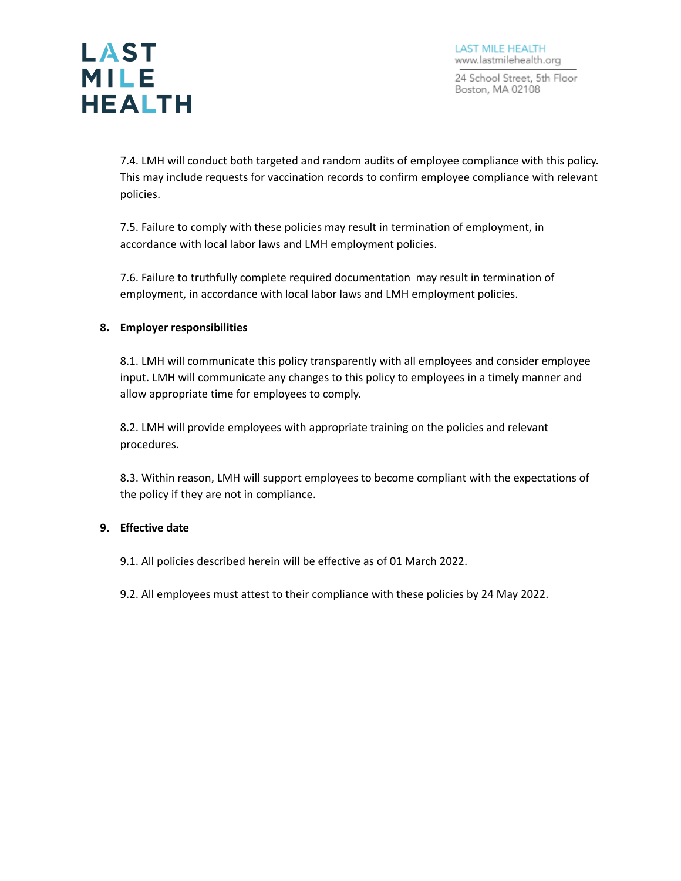**LAST MILE HEALTH** 

> 7.4. LMH will conduct both targeted and random audits of employee compliance with this policy. This may include requests for vaccination records to confirm employee compliance with relevant policies.

7.5. Failure to comply with these policies may result in termination of employment, in accordance with local labor laws and LMH employment policies.

7.6. Failure to truthfully complete required documentation may result in termination of employment, in accordance with local labor laws and LMH employment policies.

## **8. Employer responsibilities**

8.1. LMH will communicate this policy transparently with all employees and consider employee input. LMH will communicate any changes to this policy to employees in a timely manner and allow appropriate time for employees to comply.

8.2. LMH will provide employees with appropriate training on the policies and relevant procedures.

8.3. Within reason, LMH will support employees to become compliant with the expectations of the policy if they are not in compliance.

#### **9. Effective date**

- 9.1. All policies described herein will be effective as of 01 March 2022.
- 9.2. All employees must attest to their compliance with these policies by 24 May 2022.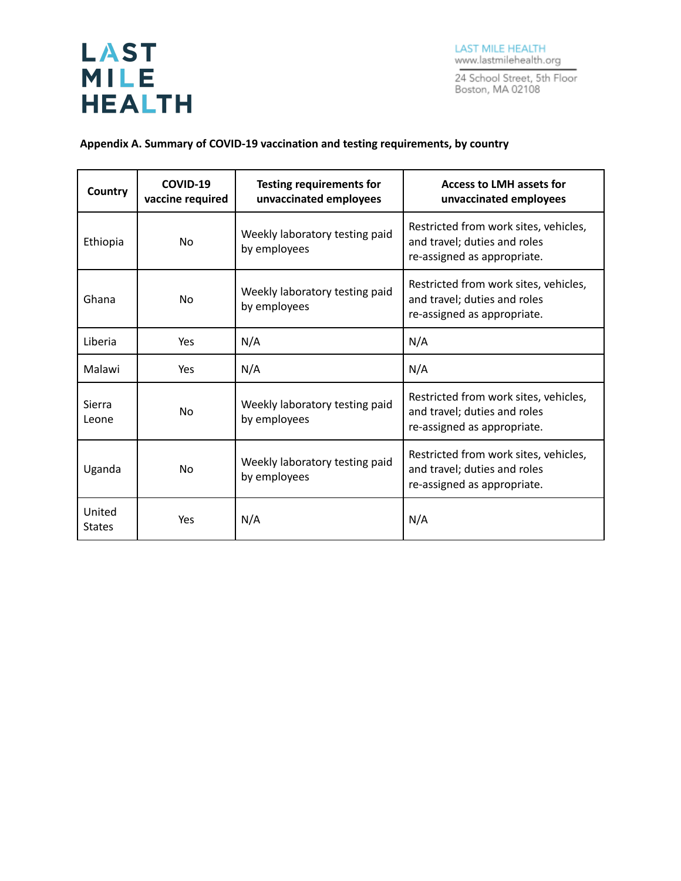# **LAST MILE HEALTH**

**LAST MILE HEALTH** www.lastmilehealth.org

24 School Street, 5th Floor<br>Boston, MA 02108

## **Appendix A. Summary of COVID-19 vaccination and testing requirements, by country**

| Country                 | COVID-19<br>vaccine required | <b>Testing requirements for</b><br>unvaccinated employees | <b>Access to LMH assets for</b><br>unvaccinated employees                                            |
|-------------------------|------------------------------|-----------------------------------------------------------|------------------------------------------------------------------------------------------------------|
| Ethiopia                | N <sub>o</sub>               | Weekly laboratory testing paid<br>by employees            | Restricted from work sites, vehicles,<br>and travel; duties and roles<br>re-assigned as appropriate. |
| Ghana                   | N <sub>o</sub>               | Weekly laboratory testing paid<br>by employees            | Restricted from work sites, vehicles,<br>and travel; duties and roles<br>re-assigned as appropriate. |
| Liberia                 | Yes                          | N/A                                                       | N/A                                                                                                  |
| Malawi                  | Yes                          | N/A                                                       | N/A                                                                                                  |
| Sierra<br>Leone         | N <sub>o</sub>               | Weekly laboratory testing paid<br>by employees            | Restricted from work sites, vehicles,<br>and travel; duties and roles<br>re-assigned as appropriate. |
| Uganda                  | No                           | Weekly laboratory testing paid<br>by employees            | Restricted from work sites, vehicles,<br>and travel; duties and roles<br>re-assigned as appropriate. |
| United<br><b>States</b> | Yes                          | N/A                                                       | N/A                                                                                                  |